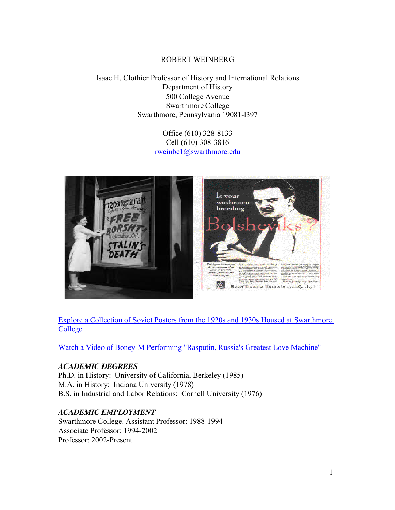#### ROBERT WEINBERG

Isaac H. Clothier Professor of History and International Relations Department of History 500 College Avenue Swarthmore College Swarthmore, Pennsylvania 19081-l397

> Office (610) 328-8133 Cell (610) 308-3816 rweinbe1@swarthmore.edu



Explore a Collection of Soviet Posters from the 1920s and 1930s Housed at Swarthmore **College** 

[Watch a Video of Boney-M Performing "Rasputin, Russia's Greatest Love Machine"](https://www.youtube.com/watch?v=16y1AkoZkmQ)

#### *ACADEMIC DEGREES*

Ph.D. in History: University of California, Berkeley (1985) M.A. in History: Indiana University (1978) B.S. in Industrial and Labor Relations: Cornell University (1976)

#### *ACADEMIC EMPLOYMENT*

Swarthmore College. Assistant Professor: 1988-1994 Associate Professor: 1994-2002 Professor: 2002-Present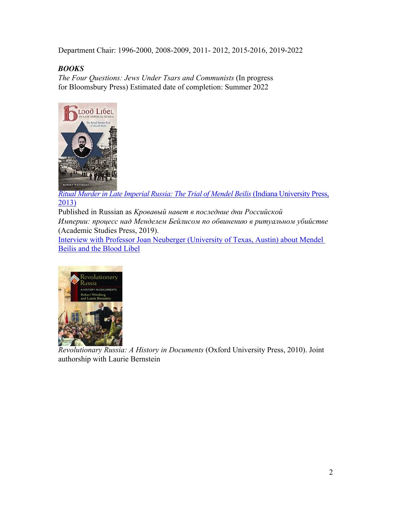Department Chair: 1996-2000, 2008-2009, 2011- 2012, 2015-2016, 2019-2022

## *BOOKS*

*The Four Questions: Jews Under Tsars and Communists* (In progress for Bloomsbury Press) Estimated date of completion: Summer 2022



*[Ritual Murder in Late Imperial Russia: The Trial of Mendel Beilis](https://web.p.ebscohost.com/ehost/detail/detail?vid=0&sid=526409dd-6d02-4975-8484-52d83f810960%40redis&bdata=JnNpdGU9ZWhvc3QtbGl2ZQ%3d%3d#AN=654853&db=e000xna)* (Indiana University Press, 2013)

Published in Russian as *Kровавый навет в последние дни Российской Империи: процесс над Менделем Бейлисом по обвинению в ритуальном убийстве* (Academic Studies Press, 2019).

Interview with Professor Joan Neuberger [\(University of Texas, Austin\) about Mendel](https://notevenpast.org/episode-106-the-blood-libel/)  Beilis and the Blood Libel



*Revolutionary Russia: A History in Documents* (Oxford University Press, 2010). Joint authorship with Laurie Bernstein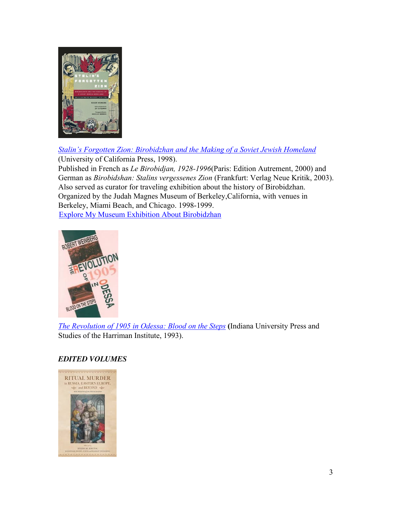

*[Stalin's Forgotten Zion: Birobidzhan and the Making of a Soviet Jewish Homeland](https://web.s.ebscohost.com/ehost/detail/detail?vid=0&sid=77a429ed-012e-4956-b1dd-579c3034bcf7%40redis&bdata=JnNpdGU9ZWhvc3QtbGl2ZQ%3d%3d#AN=21402&db=e089mna)* (University of California Press, 1998). Published in French as *Le Birobidjan, 1928-1996*(Paris: Edition Autrement, 2000) and German as *Birobidshan: Stalins vergessenes Zion* (Frankfurt: Verlag Neue Kritik, 2003). Also served as curator for traveling exhibition about the history of Birobidzhan. Organized by the Judah Magnes Museum of Berkeley,California, with venues in Berkeley, Miami Beach, and Chicago. 1998-1999. [Explore My Museum Exhibition About Birobidzhan](http://www.swarthmore.edu/Home/News/biro/)



*[The Revolution of 1905 in Odessa: Blood on the Steps](https://1lib.us/book/17021723/71c30f)* **(**Indiana University Press and Studies of the Harriman Institute, 1993).

## *EDITED VOLUMES*

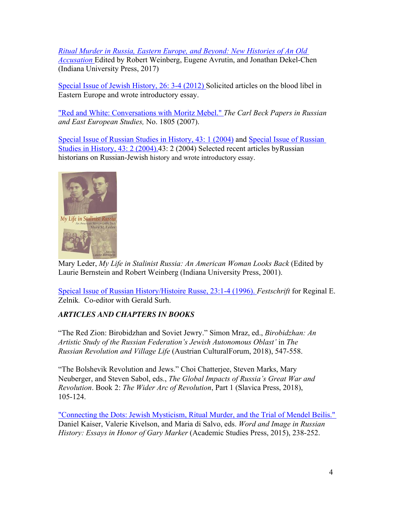*[Ritual Murder in Russia, Eastern Europe, and Beyond: New Histories of An Old](https://www.jstor.org/stable/j.ctt16gzjhc)  Accusation* Edited by Robert Weinberg, Eugene Avrutin, and Jonathan Dekel-Chen (Indiana University Press, 2017)

[Special Issue of Jewish History, 26: 3-4 \(2012\)](https://www.jstor.org/stable/i23352419?refreqid=fastly-default%3A2e69183d91c4518107c56a9c4ea56508) Solicited articles on the blood libel in Eastern Europe and wrote introductory essay.

["Red and White: Conversations with Moritz Mebel."](https://carlbeckpapers.pitt.edu/ojs/index.php/cbp/article/view/134) *The Carl Beck Papers in Russian and East European Studies,* No. 1805 (2007).

[Special Issue of Russian Studies in History, 43: 1 \(2004\)](https://www.tandfonline.com/toc/mrsh20/43/1?nav=tocList&) and [Special Issue of Russian](https://www.tandfonline.com/doi/abs/10.1080/10611983.2004.11061014)  Studies in History, 43: 2 (2004).43: 2 (2004) Selected recent articles byRussian historians on Russian-Jewish history and wrote introductory essay.



Mary Leder, *My Life in Stalinist Russia: An American Woman Looks Back* (Edited by Laurie Bernstein and Robert Weinberg (Indiana University Press, 2001).

[Speical Issue of Russian History/Histoire Russe, 23:1-4 \(1996\).](https://www.jstor.org/stable/i24657825) *Festschrift* for Reginal E. Zelnik*.* Co-editor with Gerald Surh.

## *ARTICLES AND CHAPTERS IN BOOKS*

"The Red Zion: Birobidzhan and Soviet Jewry." Simon Mraz, ed., *Birobidzhan: An Artistic Study of the Russian Federation's Jewish Autonomous Oblast'* in *The Russian Revolution and Village Life* (Austrian CulturalForum, 2018), 547-558.

"The Bolshevik Revolution and Jews." Choi Chatterjee, Steven Marks, Mary Neuberger, and Steven Sabol, eds., *The Global Impacts of Russia's Great War and Revolution*. Book 2: *The Wider Arc of Revolution*, Part 1 (Slavica Press, 2018), 105-124.

["Connecting the Dots: Jewish Mysticism, Ritual Murder, and the Trial of Mendel Beilis."](https://www.jstor.org/stable/j.ctt1zxsht1) Daniel Kaiser, Valerie Kivelson, and Maria di Salvo, eds. *Word and Image in Russian History: Essays in Honor of Gary Marker* (Academic Studies Press, 2015), 238-252.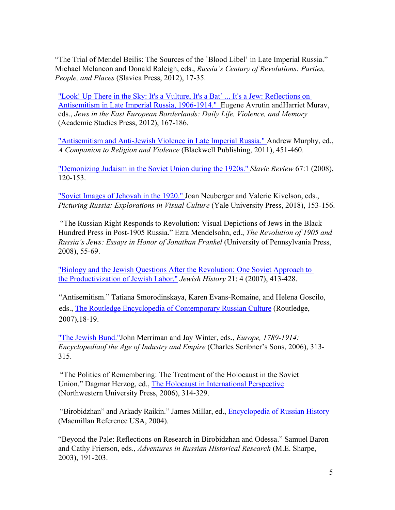"The Trial of Mendel Beilis: The Sources of the `Blood Libel' in Late Imperial Russia." Michael Melancon and Donald Raleigh, eds., *Russia's Century of Revolutions: Parties, People, and Places* (Slavica Press, 2012), 17-35.

["Look! Up There in the Sky: It's a Vulture, It's a Bat'](https://web.s.ebscohost.com/ehost/detail/detail?vid=0&sid=e01c57f5-413a-4aa4-9fe9-86794644e08b%40redis&bdata=JnNpdGU9ZWhvc3QtbGl2ZQ%3d%3d#AN=500808&db=e089mna) ... It's a Jew: Reflections on Antisemitism in Late Imperial Russia, 1906-1914." Eugene Avrutin andHarriet Murav, eds., *Jews in the East European Borderlands: Daily Life, Violence, and Memory* (Academic Studies Press, 2012), 167-186.

["Antisemitism and Anti-Jewish Violence in Late Imperial Russia."](https://ebookcentral.proquest.com/lib/swarthmore/reader.action?docID=697896) Andrew Murphy, ed., *A Companion to Religion and Violence* (Blackwell Publishing, 2011), 451-460.

["Demonizing Judaism in the Soviet Union during the 1920s."](https://www.jstor.org/stable/27652771) *Slavic Review* 67:1 (2008), 120-153.

["Soviet Images of Jehovah in the 1920."](https://doi.org/10.2307/j.ctt5vm1n6.35) Joan Neuberger and Valerie Kivelson, eds., *Picturing Russia: Explorations in Visual Culture* (Yale University Press, 2018), 153-156.

"The Russian Right Responds to Revolution: Visual Depictions of Jews in the Black Hundred Press in Post-1905 Russia." Ezra Mendelsohn, ed., *The Revolution of 1905 and Russia's Jews: Essays in Honor of Jonathan Frankel* (University of Pennsylvania Press, 2008), 55-69.

["Biology and the Jewish Questions After the Revolution: One Soviet Approach to](https://www.jstor.org/stable/20728557)  the Productivization of Jewish Labor." *Jewish History* 21: 4 (2007), 413-428.

 "Antisemitism." Tatiana Smorodinskaya, Karen Evans-Romaine, and Helena Goscilo, eds., [The Routledge Encyclopedia of Contemporary Russian Culture](https://web.s.ebscohost.com/ehost/detail/detail?vid=0&sid=975a317c-5190-40e9-aca2-4662d6242af0%40redis&bdata=JnNpdGU9ZWhvc3QtbGl2ZQ%3d%3d#AN=301239&db=e000xna) (Routledge, 2007),18-19.

["The Jewish Bund."J](https://go.gale.com/ps/retrieve.do?tabID=T003&resultListType=RESULT_LIST&searchResultsType=SingleTab&hitCount=57&searchType=BasicSearchForm¤tPosition=1&docId=GALE%7CCX3446900119&docType=Organization+overview&sort=Relevance&contentSegment=&prodId=GVRL&pageNum=1&contentSet=GALE%7CCX3446900119&searchId=R1&userGroupName=swar94187&inPS=true)ohn Merriman and Jay Winter, eds., *Europe, 1789-1914: Encyclopediaof the Age of Industry and Empire* (Charles Scribner's Sons, 2006), 313- 315.

"The Politics of Remembering: The Treatment of the Holocaust in the Soviet Union." Dagmar Herzog, ed., [The Holocaust in International Perspective](https://1lib.us/book/977870/6f4ade) (Northwestern University Press, 2006), 314-329.

"Birobidzhan" and Arkady Raikin." James Millar, ed., [Encyclopedia of Russian History](https://go.gale.com/ps/i.do?p=BIC&u=swar94187&id=GALE%7C0PFU&v=2.1&it=aboutJournal) (Macmillan Reference USA, 2004).

"Beyond the Pale: Reflections on Research in Birobidzhan and Odessa." Samuel Baron and Cathy Frierson, eds., *Adventures in Russian Historical Research* (M.E. Sharpe, 2003), 191-203.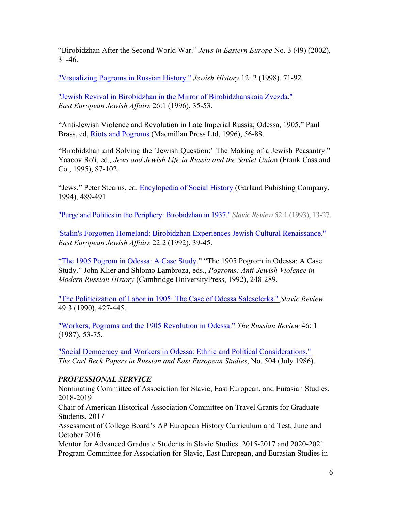"Birobidzhan After the Second World War." *Jews in Eastern Europe* No. 3 (49) (2002), 31-46.

["Visualizing Pogroms in Russian History."](https://www.jstor.org/stable/20101343) *Jewish History* 12: 2 (1998), 71-92.

["Jewish Revival in Birobidzhan in the Mirror of Birobidzhanskaia Zvezda."](https://www.tandfonline.com/doi/abs/10.1080/13501679608577817) *East European Jewish Affairs* 26:1 (1996), 35-53.

"Anti-Jewish Violence and Revolution in Late Imperial Russia; Odessa, 1905." Paul Brass, ed, [Riots and Pogroms](https://1lib.us/book/3307846/d8b144) (Macmillan Press Ltd, 1996), 56-88.

"Birobidzhan and Solving the `Jewish Question:' The Making of a Jewish Peasantry." Yaacov Ro'i, ed*., Jews and Jewish Life in Russia and the Soviet Unio*n (Frank Cass and Co., 1995), 87-102.

"Jews." Peter Stearns, ed. [Encylopedia of Social History](https://1lib.us/book/662658/c360fa) (Garland Pubishing Company, 1994), 489-491

["Purge and Politics in the Periphery: Birobidzhan in 1937."](https://www.jstor.org/stable/2499582) *Slavic Review* 52:1 (1993), 13-27.

['Stalin's Forgotten Homeland: Birobidzhan Experiences Jewish Cultural Renaissance."](https://doi.org/10.1080/13501679208577723) *East European Jewish Affairs* 22:2 (1992), 39-45.

"The 1905 Pogrom in Odessa: A Case Study." "The 1905 Pogrom in Odessa: A Case Study." John Klier and Shlomo Lambroza, eds., *Pogroms: Anti-Jewish Violence in Modern Russian History* (Cambridge UniversityPress, 1992), 248-289.

["The Politicization of Labor in 1905: The Case of Odessa Salesclerks."](https://www.jstor.org/stable/2499988) *Slavic Review* 49:3 (1990), 427-445.

["Workers, Pogroms and the 1905 Revolution in Odessa."](https://www.jstor.org/stable/130048) *The Russian Review* 46: 1 (1987), 53-75.

["Social Democracy and Workers in Odessa: Ethnic and Political Considerations."](https://carlbeckpapers.pitt.edu/ojs/index.php/cbp/article/view/25) *The Carl Beck Papers in Russian and East European Studies*, No. 504 (July 1986).

## *PROFESSIONAL SERVICE*

Nominating Committee of Association for Slavic, East European, and Eurasian Studies, 2018-2019

Chair of American Historical Association Committee on Travel Grants for Graduate Students, 2017

Assessment of College Board's AP European History Curriculum and Test, June and October 2016

Mentor for Advanced Graduate Students in Slavic Studies. 2015-2017 and 2020-2021 Program Committee for Association for Slavic, East European, and Eurasian Studies in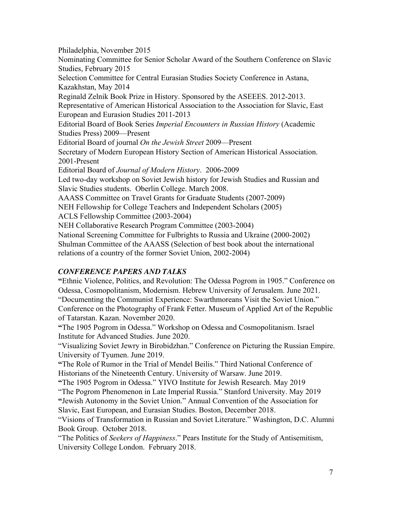Philadelphia, November 2015 Nominating Committee for Senior Scholar Award of the Southern Conference on Slavic Studies, February 2015 Selection Committee for Central Eurasian Studies Society Conference in Astana, Kazakhstan, May 2014 Reginald Zelnik Book Prize in History. Sponsored by the ASEEES. 2012-2013. Representative of American Historical Association to the Association for Slavic, East European and Eurasion Studies 2011-2013 Editorial Board of Book Series *Imperial Encounters in Russian History* (Academic Studies Press) 2009—Present Editorial Board of journal *On the Jewish Street* 2009—Present Secretary of Modern European History Section of American Historical Association. 2001-Present Editorial Board of *Journal of Modern History*. 2006-2009 Led two-day workshop on Soviet Jewish history for Jewish Studies and Russian and Slavic Studies students. Oberlin College. March 2008. AAASS Committee on Travel Grants for Graduate Students (2007-2009) NEH Fellowship for College Teachers and Independent Scholars (2005) ACLS Fellowship Committee (2003-2004) NEH Collaborative Research Program Committee (2003-2004) National Screening Committee for Fulbrights to Russia and Ukraine (2000-2002) Shulman Committee of the AAASS (Selection of best book about the international relations of a country of the former Soviet Union, 2002-2004)

#### *CONFERENCE PAPERS AND TALKS*

**"**Ethnic Violence, Politics, and Revolution: The Odessa Pogrom in 1905." Conference on Odessa, Cosmopolitanism, Modernism. Hebrew University of Jerusalem. June 2021. "Documenting the Communist Experience: Swarthmoreans Visit the Soviet Union." Conference on the Photography of Frank Fetter. Museum of Applied Art of the Republic of Tatarstan. Kazan. November 2020.

**"**The 1905 Pogrom in Odessa." Workshop on Odessa and Cosmopolitanism. Israel Institute for Advanced Studies. June 2020.

"Visualizing Soviet Jewry in Birobidzhan." Conference on Picturing the Russian Empire. University of Tyumen. June 2019.

**"**The Role of Rumor in the Trial of Mendel Beilis." Third National Conference of Historians of the Nineteenth Century. University of Warsaw. June 2019.

**"**The 1905 Pogrom in Odessa." YIVO Institute for Jewish Research. May 2019

"The Pogrom Phenomenon in Late Imperial Russia." Stanford University. May 2019 **"**Jewish Autonomy in the Soviet Union." Annual Convention of the Association for Slavic, East European, and Eurasian Studies. Boston, December 2018.

"Visions of Transformation in Russian and Soviet Literature." Washington, D.C. Alumni Book Group. October 2018.

"The Politics of *Seekers of Happiness*." Pears Institute for the Study of Antisemitism, University College London. February 2018.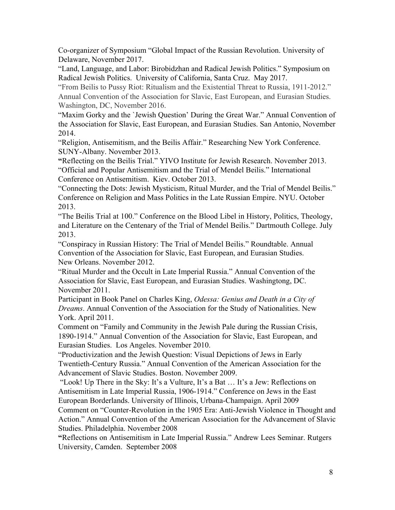Co-organizer of Symposium "Global Impact of the Russian Revolution. University of Delaware, November 2017.

"Land, Language, and Labor: Birobidzhan and Radical Jewish Politics." Symposium on Radical Jewish Politics. University of California, Santa Cruz. May 2017.

"From Beilis to Pussy Riot: Ritualism and the Existential Threat to Russia, 1911-2012." Annual Convention of the Association for Slavic, East European, and Eurasian Studies. Washington, DC, November 2016.

"Maxim Gorky and the `Jewish Question' During the Great War." Annual Convention of the Association for Slavic, East European, and Eurasian Studies. San Antonio, November 2014.

"Religion, Antisemitism, and the Beilis Affair." Researching New York Conference. SUNY-Albany. November 2013.

**"**Reflecting on the Beilis Trial." YIVO Institute for Jewish Research. November 2013. "Official and Popular Antisemitism and the Trial of Mendel Beilis." International Conference on Antisemitism. Kiev. October 2013.

"Connecting the Dots: Jewish Mysticism, Ritual Murder, and the Trial of Mendel Beilis." Conference on Religion and Mass Politics in the Late Russian Empire. NYU. October 2013.

"The Beilis Trial at 100." Conference on the Blood Libel in History, Politics, Theology, and Literature on the Centenary of the Trial of Mendel Beilis." Dartmouth College. July 2013.

"Conspiracy in Russian History: The Trial of Mendel Beilis." Roundtable. Annual Convention of the Association for Slavic, East European, and Eurasian Studies. New Orleans. November 2012.

"Ritual Murder and the Occult in Late Imperial Russia." Annual Convention of the Association for Slavic, East European, and Eurasian Studies. Washingtong, DC. November 2011.

Participant in Book Panel on Charles King, *Odessa: Genius and Death in a City of Dreams*. Annual Convention of the Association for the Study of Nationalities. New York. April 2011.

Comment on "Family and Community in the Jewish Pale during the Russian Crisis, 1890-1914." Annual Convention of the Association for Slavic, East European, and Eurasian Studies. Los Angeles. November 2010.

"Productivization and the Jewish Question: Visual Depictions of Jews in Early Twentieth-Century Russia." Annual Convention of the American Association for the Advancement of Slavic Studies. Boston. November 2009.

"Look! Up There in the Sky: It's a Vulture, It's a Bat … It's a Jew: Reflections on Antisemitism in Late Imperial Russia, 1906-1914." Conference on Jews in the East European Borderlands. University of Illinois, Urbana-Champaign. April 2009

Comment on "Counter-Revolution in the 1905 Era: Anti-Jewish Violence in Thought and Action." Annual Convention of the American Association for the Advancement of Slavic Studies. Philadelphia. November 2008

**"**Reflections on Antisemitism in Late Imperial Russia." Andrew Lees Seminar. Rutgers University, Camden. September 2008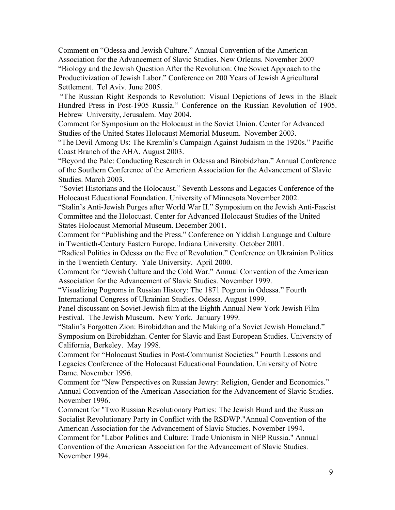Comment on "Odessa and Jewish Culture." Annual Convention of the American Association for the Advancement of Slavic Studies. New Orleans. November 2007 "Biology and the Jewish Question After the Revolution: One Soviet Approach to the Productivization of Jewish Labor." Conference on 200 Years of Jewish Agricultural Settlement. Tel Aviv. June 2005.

"The Russian Right Responds to Revolution: Visual Depictions of Jews in the Black Hundred Press in Post-1905 Russia." Conference on the Russian Revolution of 1905. Hebrew University, Jerusalem. May 2004.

Comment for Symposium on the Holocaust in the Soviet Union. Center for Advanced Studies of the United States Holocaust Memorial Museum. November 2003.

"The Devil Among Us: The Kremlin's Campaign Against Judaism in the 1920s." Pacific Coast Branch of the AHA. August 2003.

"Beyond the Pale: Conducting Research in Odessa and Birobidzhan." Annual Conference of the Southern Conference of the American Association for the Advancement of Slavic Studies. March 2003.

"Soviet Historians and the Holocaust." Seventh Lessons and Legacies Conference of the Holocaust Educational Foundation. University of Minnesota.November 2002.

"Stalin's Anti-Jewish Purges after World War II." Symposium on the Jewish Anti-Fascist Committee and the Holocuast. Center for Advanced Holocaust Studies of the United States Holocaust Memorial Museum. December 2001.

Comment for "Publishing and the Press." Conference on Yiddish Language and Culture in Twentieth-Century Eastern Europe. Indiana University. October 2001.

"Radical Politics in Odessa on the Eve of Revolution." Conference on Ukrainian Politics in the Twentieth Century. Yale University. April 2000.

Comment for "Jewish Culture and the Cold War." Annual Convention of the American Association for the Advancement of Slavic Studies. November 1999.

"Visualizing Pogroms in Russian History: The 1871 Pogrom in Odessa." Fourth International Congress of Ukrainian Studies. Odessa. August 1999.

Panel discussant on Soviet-Jewish film at the Eighth Annual New York Jewish Film Festival. The Jewish Museum. New York. January 1999.

"Stalin's Forgotten Zion: Birobidzhan and the Making of a Soviet Jewish Homeland." Symposium on Birobidzhan. Center for Slavic and East European Studies. University of California, Berkeley. May 1998.

Comment for "Holocaust Studies in Post-Communist Societies." Fourth Lessons and Legacies Conference of the Holocaust Educational Foundation. University of Notre Dame. November 1996.

Comment for "New Perspectives on Russian Jewry: Religion, Gender and Economics." Annual Convention of the American Association for the Advancement of Slavic Studies. November 1996.

Comment for "Two Russian Revolutionary Parties: The Jewish Bund and the Russian Socialist Revolutionary Party in Conflict with the RSDWP."Annual Convention of the American Association for the Advancement of Slavic Studies. November 1994.

Comment for "Labor Politics and Culture: Trade Unionism in NEP Russia." Annual Convention of the American Association for the Advancement of Slavic Studies. November 1994.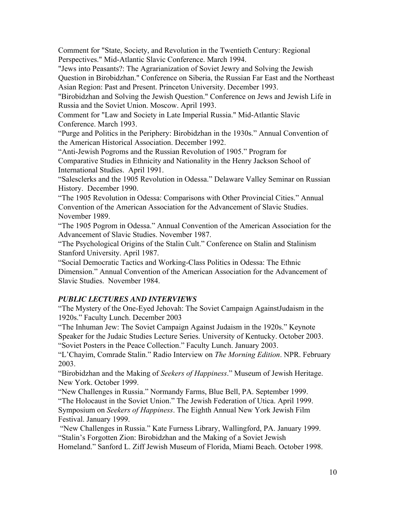Comment for "State, Society, and Revolution in the Twentieth Century: Regional Perspectives." Mid-Atlantic Slavic Conference. March 1994.

"Jews into Peasants?: The Agrarianization of Soviet Jewry and Solving the Jewish Question in Birobidzhan." Conference on Siberia, the Russian Far East and the Northeast Asian Region: Past and Present. Princeton University. December 1993.

"Birobidzhan and Solving the Jewish Question." Conference on Jews and Jewish Life in Russia and the Soviet Union. Moscow. April 1993.

Comment for "Law and Society in Late Imperial Russia." Mid-Atlantic Slavic Conference. March 1993.

"Purge and Politics in the Periphery: Birobidzhan in the 1930s." Annual Convention of the American Historical Association. December 1992.

"Anti-Jewish Pogroms and the Russian Revolution of 1905." Program for Comparative Studies in Ethnicity and Nationality in the Henry Jackson School of International Studies. April 1991.

"Salesclerks and the 1905 Revolution in Odessa." Delaware Valley Seminar on Russian History. December 1990.

"The 1905 Revolution in Odessa: Comparisons with Other Provincial Cities." Annual Convention of the American Association for the Advancement of Slavic Studies. November 1989.

"The 1905 Pogrom in Odessa." Annual Convention of the American Association for the Advancement of Slavic Studies. November 1987.

"The Psychological Origins of the Stalin Cult." Conference on Stalin and Stalinism Stanford University. April 1987.

"Social Democratic Tactics and Working-Class Politics in Odessa: The Ethnic Dimension." Annual Convention of the American Association for the Advancement of Slavic Studies. November 1984.

# *PUBLIC LECTURES AND INTERVIEWS*

"The Mystery of the One-Eyed Jehovah: The Soviet Campaign AgainstJudaism in the 1920s." Faculty Lunch. December 2003

"The Inhuman Jew: The Soviet Campaign Against Judaism in the 1920s." Keynote Speaker for the Judaic Studies Lecture Series. University of Kentucky. October 2003. "Soviet Posters in the Peace Collection." Faculty Lunch. January 2003.

"L'Chayim, Comrade Stalin." Radio Interview on *The Morning Edition*. NPR. February 2003.

"Birobidzhan and the Making of *Seekers of Happiness*." Museum of Jewish Heritage. New York. October 1999.

"New Challenges in Russia." Normandy Farms, Blue Bell, PA. September 1999. "The Holocaust in the Soviet Union." The Jewish Federation of Utica. April 1999. Symposium on *Seekers of Happiness*. The Eighth Annual New York Jewish Film Festival. January 1999.

"New Challenges in Russia." Kate Furness Library, Wallingford, PA. January 1999. "Stalin's Forgotten Zion: Birobidzhan and the Making of a Soviet Jewish

Homeland." Sanford L. Ziff Jewish Museum of Florida, Miami Beach. October 1998.